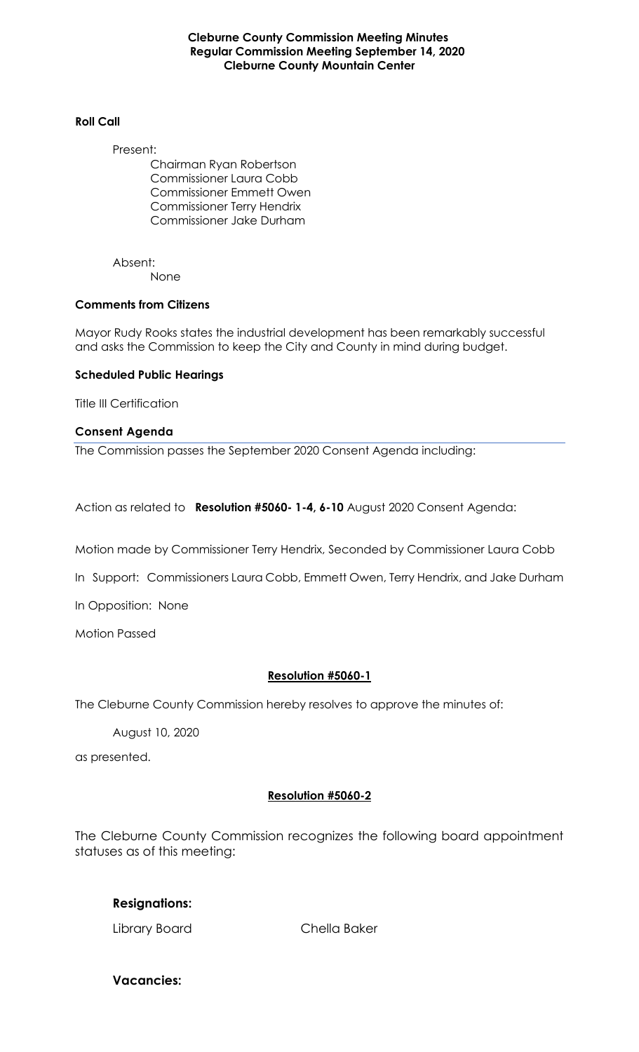**Cleburne County Commission Meeting Minutes Regular Commission Meeting September 14, 2020 Cleburne County Mountain Center**

#### **Roll Call**

Present:

Chairman Ryan Robertson Commissioner Laura Cobb Commissioner Emmett Owen Commissioner Terry Hendrix Commissioner Jake Durham

Absent: None

#### **Comments from Citizens**

Mayor Rudy Rooks states the industrial development has been remarkably successful and asks the Commission to keep the City and County in mind during budget.

#### **Scheduled Public Hearings**

Title III Certification

#### **Consent Agenda**

The Commission passes the September 2020 Consent Agenda including:

Action as related to **Resolution #5060- 1-4, 6-10** August 2020 Consent Agenda:

Motion made by Commissioner Terry Hendrix, Seconded by Commissioner Laura Cobb

In Support: Commissioners Laura Cobb, Emmett Owen, Terry Hendrix, and Jake Durham

In Opposition: None

Motion Passed

#### **Resolution #5060-1**

The Cleburne County Commission hereby resolves to approve the minutes of:

August 10, 2020

as presented.

#### **Resolution #5060-2**

The Cleburne County Commission recognizes the following board appointment statuses as of this meeting:

#### **Resignations:**

Library Board Chella Baker

**Vacancies:**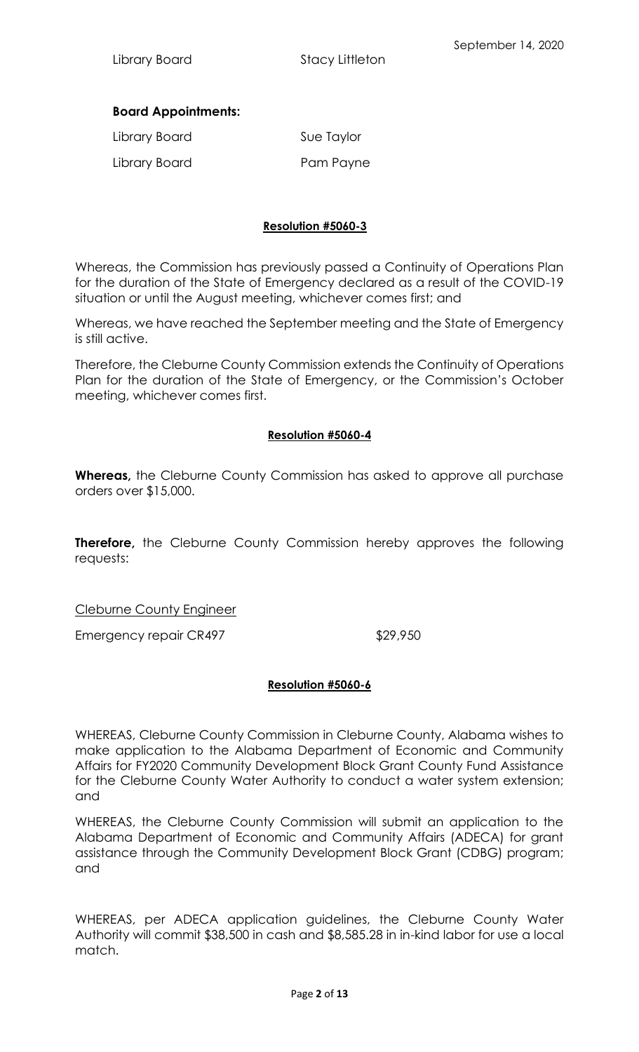# **Board Appointments:**

| Library Board | Sue Taylor |
|---------------|------------|
| Library Board | Pam Payne  |

# **Resolution #5060-3**

Whereas, the Commission has previously passed a Continuity of Operations Plan for the duration of the State of Emergency declared as a result of the COVID-19 situation or until the August meeting, whichever comes first; and

Whereas, we have reached the September meeting and the State of Emergency is still active.

Therefore, the Cleburne County Commission extends the Continuity of Operations Plan for the duration of the State of Emergency, or the Commission's October meeting, whichever comes first.

# **Resolution #5060-4**

**Whereas,** the Cleburne County Commission has asked to approve all purchase orders over \$15,000.

**Therefore,** the Cleburne County Commission hereby approves the following requests:

## Cleburne County Engineer

Emergency repair CR497 \$29,950

## **Resolution #5060-6**

WHEREAS, Cleburne County Commission in Cleburne County, Alabama wishes to make application to the Alabama Department of Economic and Community Affairs for FY2020 Community Development Block Grant County Fund Assistance for the Cleburne County Water Authority to conduct a water system extension; and

WHEREAS, the Cleburne County Commission will submit an application to the Alabama Department of Economic and Community Affairs (ADECA) for grant assistance through the Community Development Block Grant (CDBG) program; and

WHEREAS, per ADECA application guidelines, the Cleburne County Water Authority will commit \$38,500 in cash and \$8,585.28 in in-kind labor for use a local match.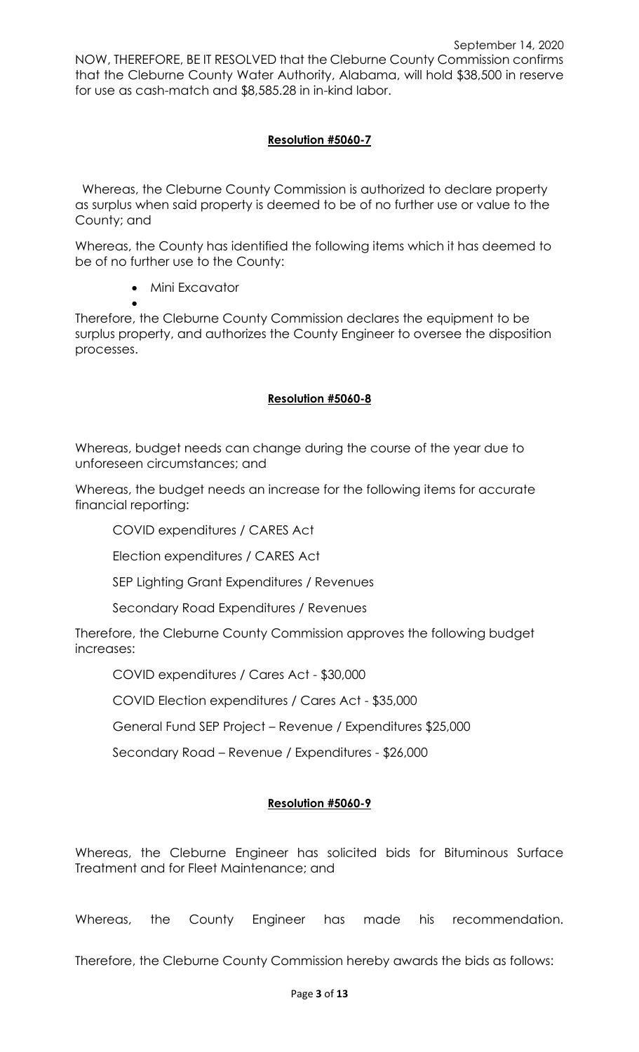NOW, THEREFORE, BE IT RESOLVED that the Cleburne County Commission confirms that the Cleburne County Water Authority, Alabama, will hold \$38,500 in reserve for use as cash-match and \$8,585.28 in in-kind labor.

# **Resolution #5060-7**

 Whereas, the Cleburne County Commission is authorized to declare property as surplus when said property is deemed to be of no further use or value to the County; and

Whereas, the County has identified the following items which it has deemed to be of no further use to the County:

• Mini Excavator

• Therefore, the Cleburne County Commission declares the equipment to be surplus property, and authorizes the County Engineer to oversee the disposition processes.

# **Resolution #5060-8**

Whereas, budget needs can change during the course of the year due to unforeseen circumstances; and

Whereas, the budget needs an increase for the following items for accurate financial reporting:

COVID expenditures / CARES Act

Election expenditures / CARES Act

SEP Lighting Grant Expenditures / Revenues

Secondary Road Expenditures / Revenues

Therefore, the Cleburne County Commission approves the following budget increases:

COVID expenditures / Cares Act - \$30,000

COVID Election expenditures / Cares Act - \$35,000

General Fund SEP Project – Revenue / Expenditures \$25,000

Secondary Road – Revenue / Expenditures - \$26,000

# **Resolution #5060-9**

Whereas, the Cleburne Engineer has solicited bids for Bituminous Surface Treatment and for Fleet Maintenance; and

Whereas, the County Engineer has made his recommendation.

Therefore, the Cleburne County Commission hereby awards the bids as follows: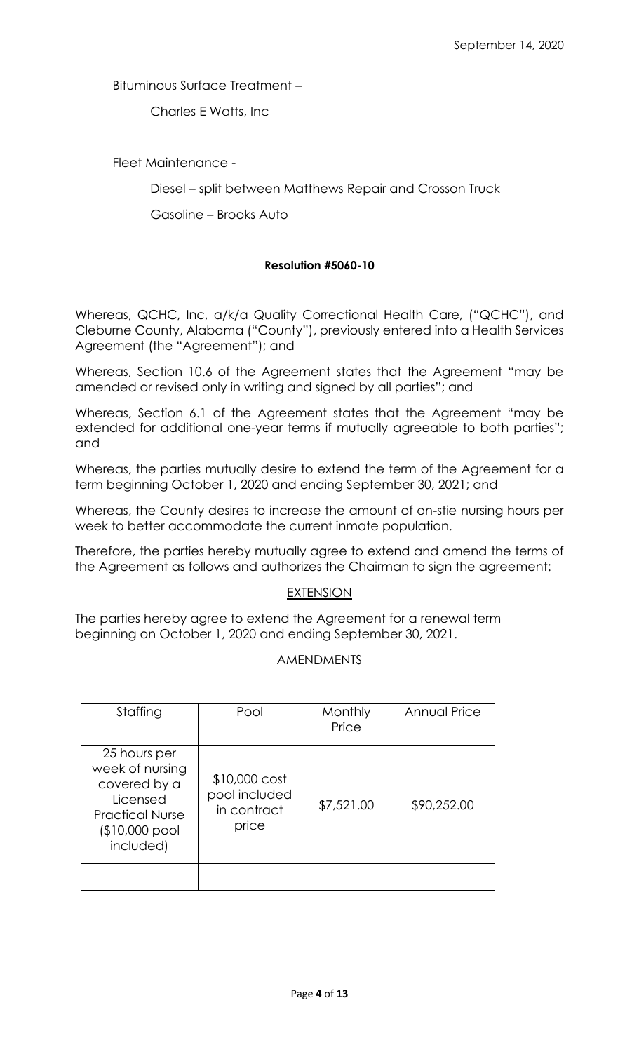Bituminous Surface Treatment –

Charles E Watts, Inc

Fleet Maintenance -

Diesel – split between Matthews Repair and Crosson Truck

Gasoline – Brooks Auto

# **Resolution #5060-10**

Whereas, QCHC, Inc, a/k/a Quality Correctional Health Care, ("QCHC"), and Cleburne County, Alabama ("County"), previously entered into a Health Services Agreement (the "Agreement"); and

Whereas, Section 10.6 of the Agreement states that the Agreement "may be amended or revised only in writing and signed by all parties"; and

Whereas, Section 6.1 of the Agreement states that the Agreement "may be extended for additional one-year terms if mutually agreeable to both parties"; and

Whereas, the parties mutually desire to extend the term of the Agreement for a term beginning October 1, 2020 and ending September 30, 2021; and

Whereas, the County desires to increase the amount of on-stie nursing hours per week to better accommodate the current inmate population.

Therefore, the parties hereby mutually agree to extend and amend the terms of the Agreement as follows and authorizes the Chairman to sign the agreement:

## EXTENSION

The parties hereby agree to extend the Agreement for a renewal term beginning on October 1, 2020 and ending September 30, 2021.

## AMENDMENTS

| Staffing                                                                                                             | Pool                                                    | Monthly<br>Price | Annual Price |
|----------------------------------------------------------------------------------------------------------------------|---------------------------------------------------------|------------------|--------------|
| 25 hours per<br>week of nursing<br>covered by a<br>Licensed<br><b>Practical Nurse</b><br>(\$10,000 pool<br>included) | $$10,000$ cost<br>pool included<br>in contract<br>price | \$7,521.00       | \$90,252.00  |
|                                                                                                                      |                                                         |                  |              |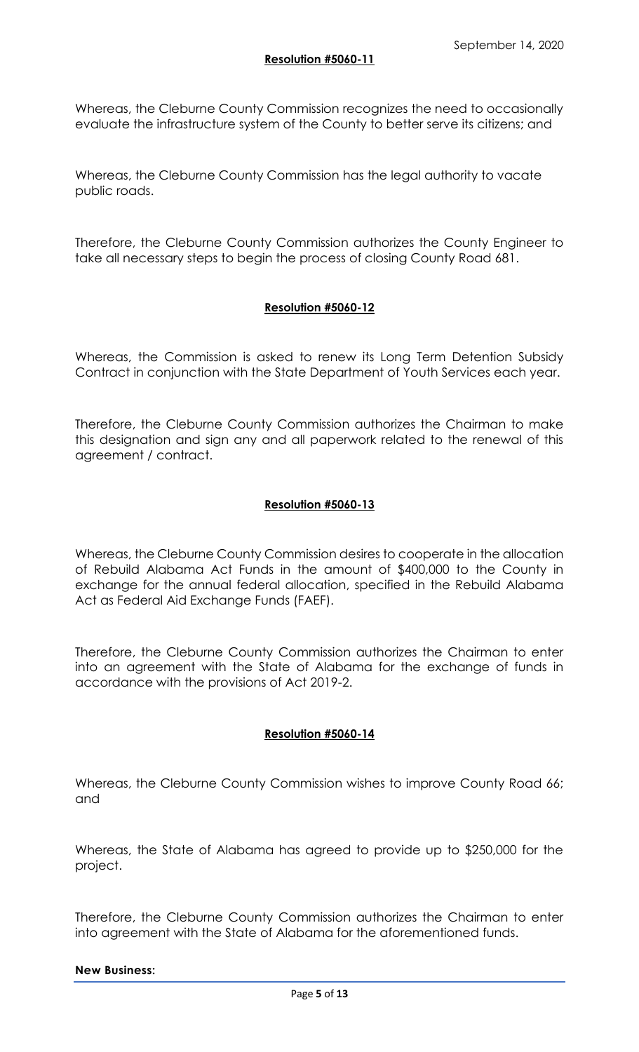Whereas, the Cleburne County Commission recognizes the need to occasionally evaluate the infrastructure system of the County to better serve its citizens; and

Whereas, the Cleburne County Commission has the legal authority to vacate public roads.

Therefore, the Cleburne County Commission authorizes the County Engineer to take all necessary steps to begin the process of closing County Road 681.

#### **Resolution #5060-12**

Whereas, the Commission is asked to renew its Long Term Detention Subsidy Contract in conjunction with the State Department of Youth Services each year.

Therefore, the Cleburne County Commission authorizes the Chairman to make this designation and sign any and all paperwork related to the renewal of this agreement / contract.

#### **Resolution #5060-13**

Whereas, the Cleburne County Commission desires to cooperate in the allocation of Rebuild Alabama Act Funds in the amount of \$400,000 to the County in exchange for the annual federal allocation, specified in the Rebuild Alabama Act as Federal Aid Exchange Funds (FAEF).

Therefore, the Cleburne County Commission authorizes the Chairman to enter into an agreement with the State of Alabama for the exchange of funds in accordance with the provisions of Act 2019-2.

## **Resolution #5060-14**

Whereas, the Cleburne County Commission wishes to improve County Road 66; and

Whereas, the State of Alabama has agreed to provide up to \$250,000 for the project.

Therefore, the Cleburne County Commission authorizes the Chairman to enter into agreement with the State of Alabama for the aforementioned funds.

#### **New Business:**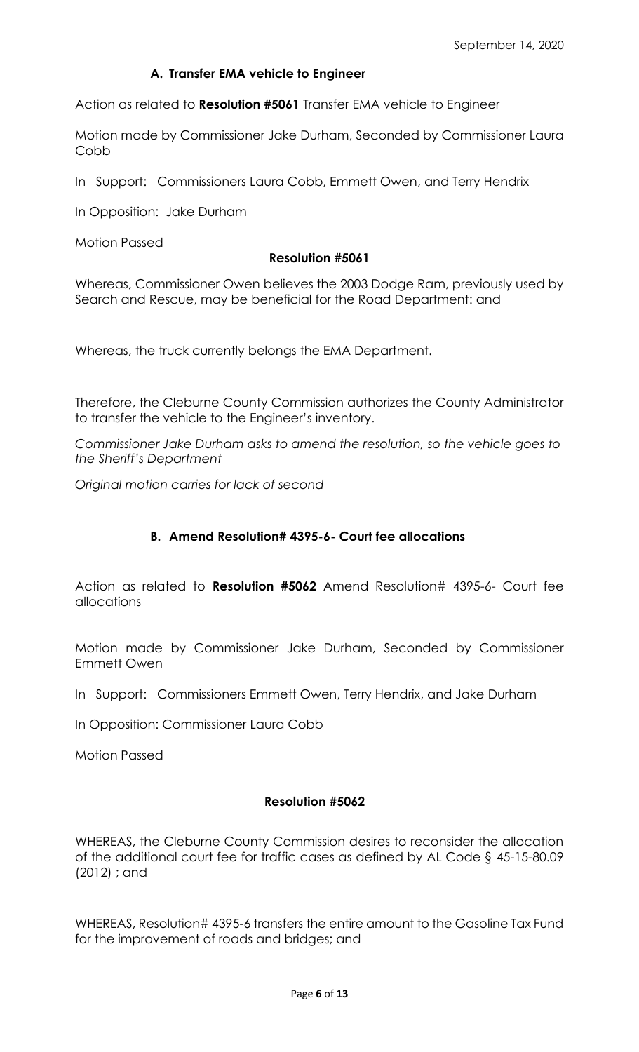# **A. Transfer EMA vehicle to Engineer**

Action as related to **Resolution #5061** Transfer EMA vehicle to Engineer

Motion made by Commissioner Jake Durham, Seconded by Commissioner Laura Cobb

In Support: Commissioners Laura Cobb, Emmett Owen, and Terry Hendrix

In Opposition: Jake Durham

Motion Passed

#### **Resolution #5061**

Whereas, Commissioner Owen believes the 2003 Dodge Ram, previously used by Search and Rescue, may be beneficial for the Road Department: and

Whereas, the truck currently belongs the EMA Department.

Therefore, the Cleburne County Commission authorizes the County Administrator to transfer the vehicle to the Engineer's inventory.

*Commissioner Jake Durham asks to amend the resolution, so the vehicle goes to the Sheriff's Department*

*Original motion carries for lack of second*

## **B. Amend Resolution# 4395-6- Court fee allocations**

Action as related to **Resolution #5062** Amend Resolution# 4395-6- Court fee allocations

Motion made by Commissioner Jake Durham, Seconded by Commissioner Emmett Owen

In Support: Commissioners Emmett Owen, Terry Hendrix, and Jake Durham

In Opposition: Commissioner Laura Cobb

Motion Passed

## **Resolution #5062**

WHEREAS, the Cleburne County Commission desires to reconsider the allocation of the additional court fee for traffic cases as defined by [AL Code § 45-15-80.09](https://law.justia.com/citations.html)  [\(2012\) ;](https://law.justia.com/citations.html) and

WHEREAS, Resolution# 4395-6 transfers the entire amount to the Gasoline Tax Fund for the improvement of roads and bridges; and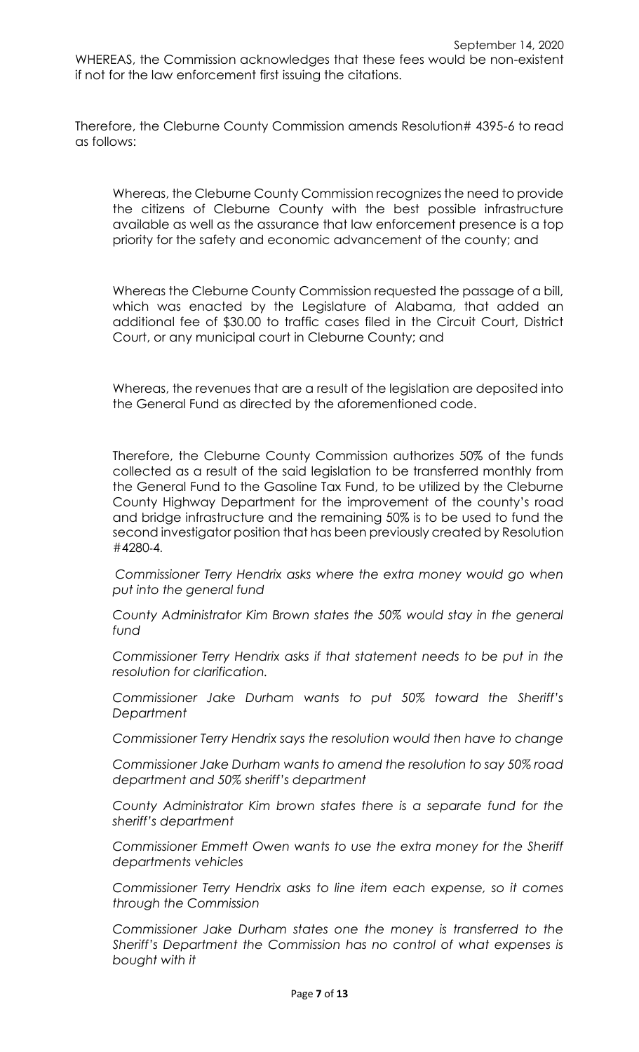WHEREAS, the Commission acknowledges that these fees would be non-existent if not for the law enforcement first issuing the citations.

Therefore, the Cleburne County Commission amends Resolution# 4395-6 to read as follows:

Whereas, the Cleburne County Commission recognizes the need to provide the citizens of Cleburne County with the best possible infrastructure available as well as the assurance that law enforcement presence is a top priority for the safety and economic advancement of the county; and

Whereas the Cleburne County Commission requested the passage of a bill, which was enacted by the Legislature of Alabama, that added an additional fee of \$30.00 to traffic cases filed in the Circuit Court, District Court, or any municipal court in Cleburne County; and

Whereas, the revenues that are a result of the legislation are deposited into the General Fund as directed by the aforementioned code.

Therefore, the Cleburne County Commission authorizes 50% of the funds collected as a result of the said legislation to be transferred monthly from the General Fund to the Gasoline Tax Fund, to be utilized by the Cleburne County Highway Department for the improvement of the county's road and bridge infrastructure and the remaining 50% is to be used to fund the second investigator position that has been previously created by Resolution #4280-4.

*Commissioner Terry Hendrix asks where the extra money would go when put into the general fund*

*County Administrator Kim Brown states the 50% would stay in the general fund*

*Commissioner Terry Hendrix asks if that statement needs to be put in the resolution for clarification.*

*Commissioner Jake Durham wants to put 50% toward the Sheriff's Department* 

*Commissioner Terry Hendrix says the resolution would then have to change*

*Commissioner Jake Durham wants to amend the resolution to say 50% road department and 50% sheriff's department*

*County Administrator Kim brown states there is a separate fund for the sheriff's department*

*Commissioner Emmett Owen wants to use the extra money for the Sheriff departments vehicles*

*Commissioner Terry Hendrix asks to line item each expense, so it comes through the Commission*

*Commissioner Jake Durham states one the money is transferred to the Sheriff's Department the Commission has no control of what expenses is bought with it*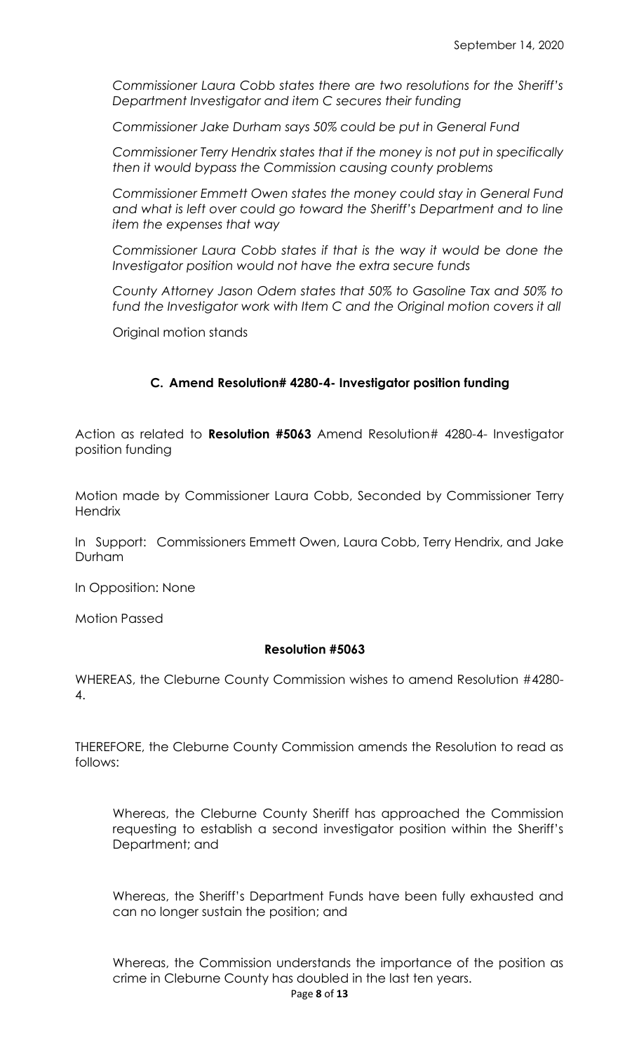*Commissioner Laura Cobb states there are two resolutions for the Sheriff's Department Investigator and item C secures their funding*

*Commissioner Jake Durham says 50% could be put in General Fund*

*Commissioner Terry Hendrix states that if the money is not put in specifically then it would bypass the Commission causing county problems*

*Commissioner Emmett Owen states the money could stay in General Fund and what is left over could go toward the Sheriff's Department and to line item the expenses that way*

*Commissioner Laura Cobb states if that is the way it would be done the Investigator position would not have the extra secure funds*

*County Attorney Jason Odem states that 50% to Gasoline Tax and 50% to fund the Investigator work with Item C and the Original motion covers it all*

Original motion stands

# **C. Amend Resolution# 4280-4- Investigator position funding**

Action as related to **Resolution #5063** Amend Resolution# 4280-4- Investigator position funding

Motion made by Commissioner Laura Cobb, Seconded by Commissioner Terry **Hendrix** 

In Support: Commissioners Emmett Owen, Laura Cobb, Terry Hendrix, and Jake Durham

In Opposition: None

Motion Passed

#### **Resolution #5063**

WHEREAS, the Cleburne County Commission wishes to amend Resolution #4280- 4.

THEREFORE, the Cleburne County Commission amends the Resolution to read as follows:

Whereas, the Cleburne County Sheriff has approached the Commission requesting to establish a second investigator position within the Sheriff's Department; and

Whereas, the Sheriff's Department Funds have been fully exhausted and can no longer sustain the position; and

Page **8** of **13** Whereas, the Commission understands the importance of the position as crime in Cleburne County has doubled in the last ten years.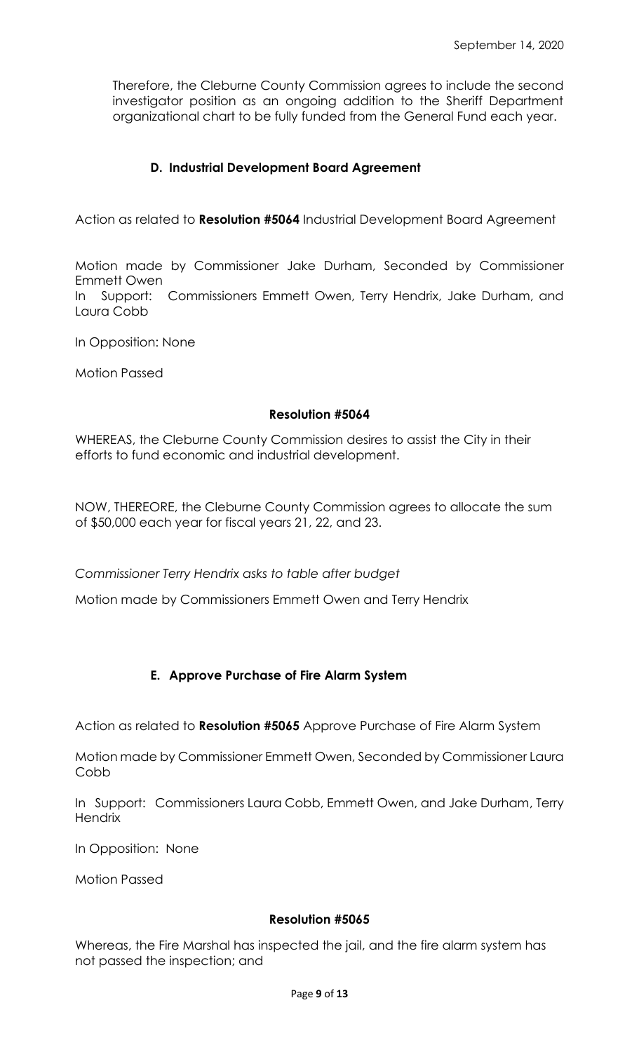Therefore, the Cleburne County Commission agrees to include the second investigator position as an ongoing addition to the Sheriff Department organizational chart to be fully funded from the General Fund each year.

# **D. Industrial Development Board Agreement**

Action as related to **Resolution #5064** Industrial Development Board Agreement

Motion made by Commissioner Jake Durham, Seconded by Commissioner Emmett Owen In Support: Commissioners Emmett Owen, Terry Hendrix, Jake Durham, and Laura Cobb

In Opposition: None

Motion Passed

#### **Resolution #5064**

WHEREAS, the Cleburne County Commission desires to assist the City in their efforts to fund economic and industrial development.

NOW, THEREORE, the Cleburne County Commission agrees to allocate the sum of \$50,000 each year for fiscal years 21, 22, and 23.

*Commissioner Terry Hendrix asks to table after budget*

Motion made by Commissioners Emmett Owen and Terry Hendrix

## **E. Approve Purchase of Fire Alarm System**

Action as related to **Resolution #5065** Approve Purchase of Fire Alarm System

Motion made by Commissioner Emmett Owen, Seconded by Commissioner Laura Cobb

In Support: Commissioners Laura Cobb, Emmett Owen, and Jake Durham, Terry **Hendrix** 

In Opposition: None

Motion Passed

#### **Resolution #5065**

Whereas, the Fire Marshal has inspected the jail, and the fire alarm system has not passed the inspection; and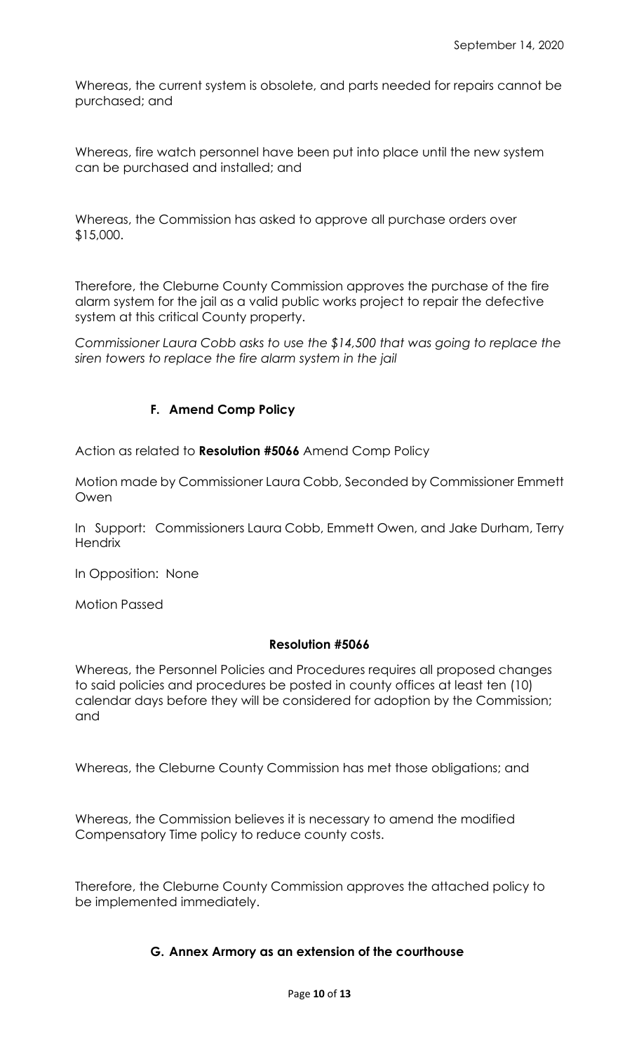Whereas, the current system is obsolete, and parts needed for repairs cannot be purchased; and

Whereas, fire watch personnel have been put into place until the new system can be purchased and installed; and

Whereas, the Commission has asked to approve all purchase orders over \$15,000.

Therefore, the Cleburne County Commission approves the purchase of the fire alarm system for the jail as a valid public works project to repair the defective system at this critical County property.

*Commissioner Laura Cobb asks to use the \$14,500 that was going to replace the siren towers to replace the fire alarm system in the jail*

# **F. Amend Comp Policy**

Action as related to **Resolution #5066** Amend Comp Policy

Motion made by Commissioner Laura Cobb, Seconded by Commissioner Emmett Owen

In Support: Commissioners Laura Cobb, Emmett Owen, and Jake Durham, Terry **Hendrix** 

In Opposition: None

Motion Passed

## **Resolution #5066**

Whereas, the Personnel Policies and Procedures requires all proposed changes to said policies and procedures be posted in county offices at least ten (10) calendar days before they will be considered for adoption by the Commission; and

Whereas, the Cleburne County Commission has met those obligations; and

Whereas, the Commission believes it is necessary to amend the modified Compensatory Time policy to reduce county costs.

Therefore, the Cleburne County Commission approves the attached policy to be implemented immediately.

## **G. Annex Armory as an extension of the courthouse**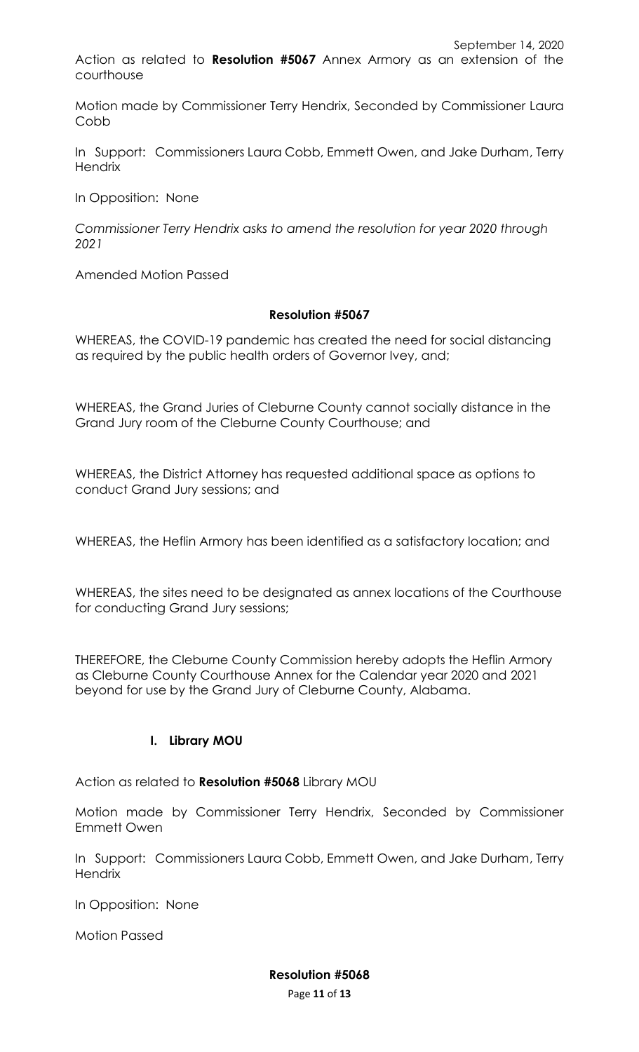courthouse

Motion made by Commissioner Terry Hendrix, Seconded by Commissioner Laura Cobb

In Support: Commissioners Laura Cobb, Emmett Owen, and Jake Durham, Terry **Hendrix** 

In Opposition: None

*Commissioner Terry Hendrix asks to amend the resolution for year 2020 through 2021*

Amended Motion Passed

#### **Resolution #5067**

WHEREAS, the COVID-19 pandemic has created the need for social distancing as required by the public health orders of Governor Ivey, and;

WHEREAS, the Grand Juries of Cleburne County cannot socially distance in the Grand Jury room of the Cleburne County Courthouse; and

WHEREAS, the District Attorney has requested additional space as options to conduct Grand Jury sessions; and

WHEREAS, the Heflin Armory has been identified as a satisfactory location; and

WHEREAS, the sites need to be designated as annex locations of the Courthouse for conducting Grand Jury sessions;

THEREFORE, the Cleburne County Commission hereby adopts the Heflin Armory as Cleburne County Courthouse Annex for the Calendar year 2020 and 2021 beyond for use by the Grand Jury of Cleburne County, Alabama.

## **I. Library MOU**

Action as related to **Resolution #5068** Library MOU

Motion made by Commissioner Terry Hendrix, Seconded by Commissioner Emmett Owen

In Support: Commissioners Laura Cobb, Emmett Owen, and Jake Durham, Terry **Hendrix** 

In Opposition: None

Motion Passed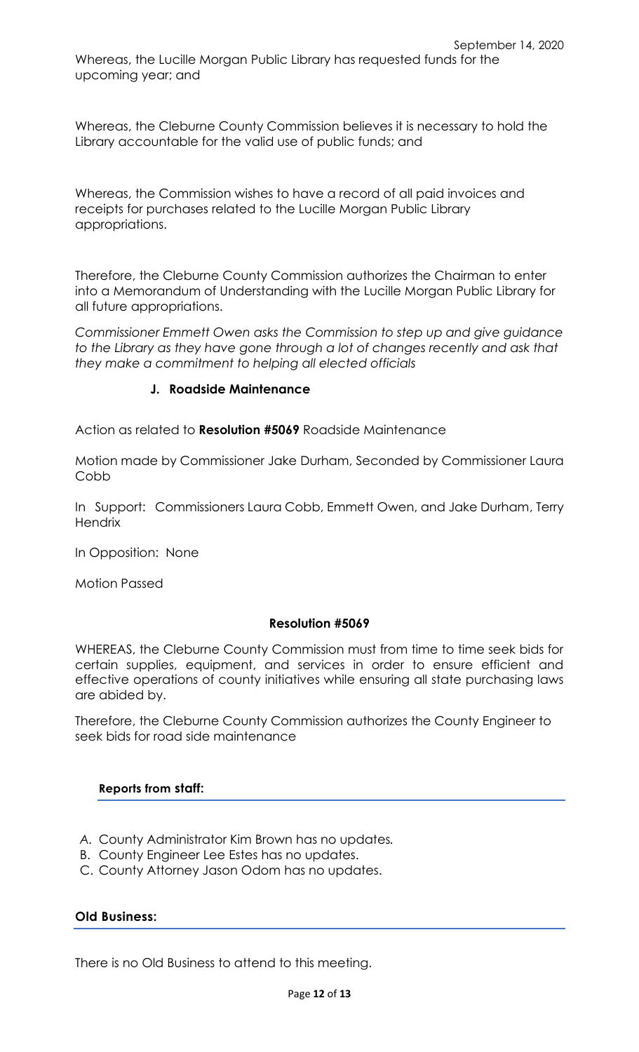Whereas, the Cleburne County Commission believes it is necessary to hold the Library accountable for the valid use of public funds; and

Whereas, the Commission wishes to have a record of all paid invoices and receipts for purchases related to the Lucille Morgan Public Library appropriations.

Therefore, the Cleburne County Commission authorizes the Chairman to enter into a Memorandum of Understanding with the Lucille Morgan Public Library for all future appropriations.

*Commissioner Emmett Owen asks the Commission to step up and give guidance to the Library as they have gone through a lot of changes recently and ask that they make a commitment to helping all elected officials* 

## **J. Roadside Maintenance**

Action as related to **Resolution #5069** Roadside Maintenance

Motion made by Commissioner Jake Durham, Seconded by Commissioner Laura Cobb

In Support: Commissioners Laura Cobb, Emmett Owen, and Jake Durham, Terry **Hendrix** 

In Opposition: None

Motion Passed

#### **Resolution #5069**

WHEREAS, the Cleburne County Commission must from time to time seek bids for certain supplies, equipment, and services in order to ensure efficient and effective operations of county initiatives while ensuring all state purchasing laws are abided by.

Therefore, the Cleburne County Commission authorizes the County Engineer to seek bids for road side maintenance

## **Reports from staff:**

- *A.* County Administrator Kim Brown has no updates*.*
- B. County Engineer Lee Estes has no updates.
- C. County Attorney Jason Odom has no updates.

## **Old Business:**

There is no Old Business to attend to this meeting.